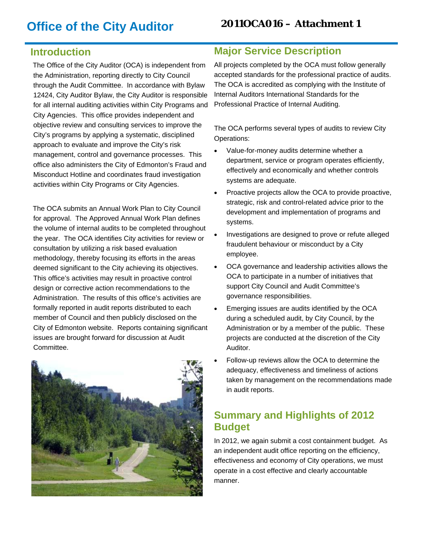# **Office of the City Auditor**

#### **2011OCA016 – Attachment 1**

### **Introduction**

The Office of the City Auditor (OCA) is independent from the Administration, reporting directly to City Council through the Audit Committee. In accordance with Bylaw 12424, City Auditor Bylaw, the City Auditor is responsible for all internal auditing activities within City Programs and City Agencies. This office provides independent and objective review and consulting services to improve the City's programs by applying a systematic, disciplined approach to evaluate and improve the City's risk management, control and governance processes. This office also administers the City of Edmonton's Fraud and Misconduct Hotline and coordinates fraud investigation activities within City Programs or City Agencies.

The OCA submits an Annual Work Plan to City Council for approval. The Approved Annual Work Plan defines the volume of internal audits to be completed throughout the year. The OCA identifies City activities for review or consultation by utilizing a risk based evaluation methodology, thereby focusing its efforts in the areas deemed significant to the City achieving its objectives. This office's activities may result in proactive control design or corrective action recommendations to the Administration. The results of this office's activities are formally reported in audit reports distributed to each member of Council and then publicly disclosed on the City of Edmonton website. Reports containing significant issues are brought forward for discussion at Audit Committee.



#### **Major Service Description**

All projects completed by the OCA must follow generally accepted standards for the professional practice of audits. The OCA is accredited as complying with the Institute of Internal Auditors International Standards for the Professional Practice of Internal Auditing.

The OCA performs several types of audits to review City Operations:

- Value-for-money audits determine whether a department, service or program operates efficiently, effectively and economically and whether controls systems are adequate.
- Proactive projects allow the OCA to provide proactive, strategic, risk and control-related advice prior to the development and implementation of programs and systems.
- Investigations are designed to prove or refute alleged fraudulent behaviour or misconduct by a City employee.
- OCA governance and leadership activities allows the OCA to participate in a number of initiatives that support City Council and Audit Committee's governance responsibilities.
- Emerging issues are audits identified by the OCA during a scheduled audit, by City Council, by the Administration or by a member of the public. These projects are conducted at the discretion of the City Auditor.
- Follow-up reviews allow the OCA to determine the adequacy, effectiveness and timeliness of actions taken by management on the recommendations made in audit reports.

### **Summary and Highlights of 2012 Budget**

In 2012, we again submit a cost containment budget. As an independent audit office reporting on the efficiency, effectiveness and economy of City operations, we must operate in a cost effective and clearly accountable manner.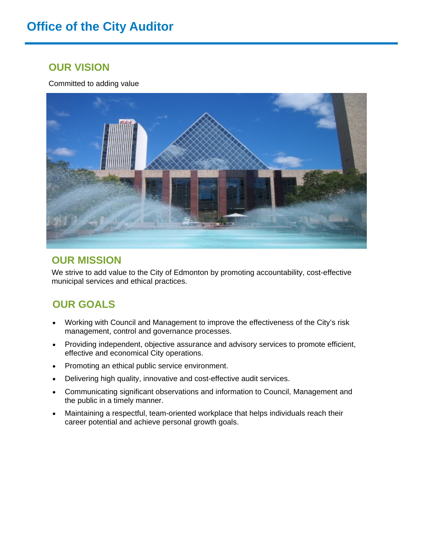# **Office of the City Auditor**

### **OUR VISION**

Committed to adding value



#### **OUR MISSION**

We strive to add value to the City of Edmonton by promoting accountability, cost-effective municipal services and ethical practices.

## **OUR GOALS**

- Working with Council and Management to improve the effectiveness of the City's risk management, control and governance processes.
- Providing independent, objective assurance and advisory services to promote efficient, effective and economical City operations.
- Promoting an ethical public service environment.
- Delivering high quality, innovative and cost-effective audit services.
- Communicating significant observations and information to Council, Management and the public in a timely manner.
- Maintaining a respectful, team-oriented workplace that helps individuals reach their career potential and achieve personal growth goals.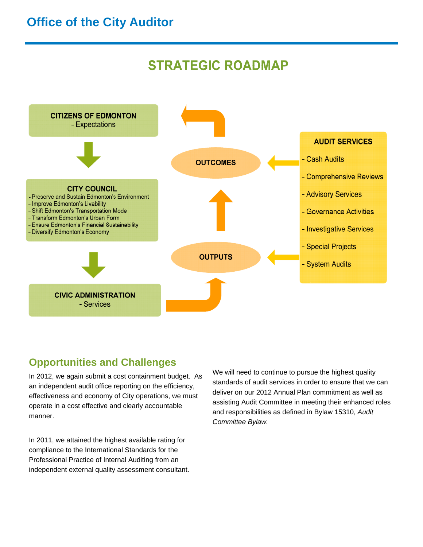## **Office of the City Auditor**

# **STRATEGIC ROADMAP**



### **Opportunities and Challenges**

In 2012, we again submit a cost containment budget. As an independent audit office reporting on the efficiency, effectiveness and economy of City operations, we must operate in a cost effective and clearly accountable manner.

In 2011, we attained the highest available rating for compliance to the International Standards for the Professional Practice of Internal Auditing from an independent external quality assessment consultant.

We will need to continue to pursue the highest quality standards of audit services in order to ensure that we can deliver on our 2012 Annual Plan commitment as well as assisting Audit Committee in meeting their enhanced roles and responsibilities as defined in Bylaw 15310, *Audit Committee Bylaw.*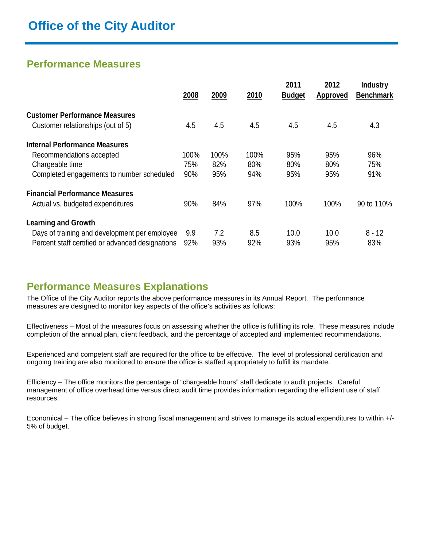### **Performance Measures**

|                                                  | 2008 | 2009 | 2010 | 2011<br><b>Budget</b> | 2012<br><b>Approved</b> | <b>Industry</b><br><b>Benchmark</b> |
|--------------------------------------------------|------|------|------|-----------------------|-------------------------|-------------------------------------|
| <b>Customer Performance Measures</b>             |      |      |      |                       |                         |                                     |
| Customer relationships (out of 5)                | 4.5  | 4.5  | 4.5  | 4.5                   | 4.5                     | 4.3                                 |
| <b>Internal Performance Measures</b>             |      |      |      |                       |                         |                                     |
| Recommendations accepted                         | 100% | 100% | 100% | 95%                   | 95%                     | 96%                                 |
| Chargeable time                                  | 75%  | 82%  | 80%  | 80%                   | 80%                     | 75%                                 |
| Completed engagements to number scheduled        | 90%  | 95%  | 94%  | 95%                   | 95%                     | 91%                                 |
| <b>Financial Performance Measures</b>            |      |      |      |                       |                         |                                     |
| Actual vs. budgeted expenditures                 | 90%  | 84%  | 97%  | 100%                  | 100%                    | 90 to 110%                          |
| <b>Learning and Growth</b>                       |      |      |      |                       |                         |                                     |
| Days of training and development per employee    | 9.9  | 7.2  | 8.5  | 10.0                  | 10.0                    | $8 - 12$                            |
| Percent staff certified or advanced designations | 92%  | 93%  | 92%  | 93%                   | 95%                     | 83%                                 |

#### **Performance Measures Explanations**

The Office of the City Auditor reports the above performance measures in its Annual Report. The performance measures are designed to monitor key aspects of the office's activities as follows:

Effectiveness – Most of the measures focus on assessing whether the office is fulfilling its role. These measures include completion of the annual plan, client feedback, and the percentage of accepted and implemented recommendations.

Experienced and competent staff are required for the office to be effective. The level of professional certification and ongoing training are also monitored to ensure the office is staffed appropriately to fulfill its mandate.

Efficiency – The office monitors the percentage of "chargeable hours" staff dedicate to audit projects. Careful management of office overhead time versus direct audit time provides information regarding the efficient use of staff resources.

Economical – The office believes in strong fiscal management and strives to manage its actual expenditures to within +/- 5% of budget.